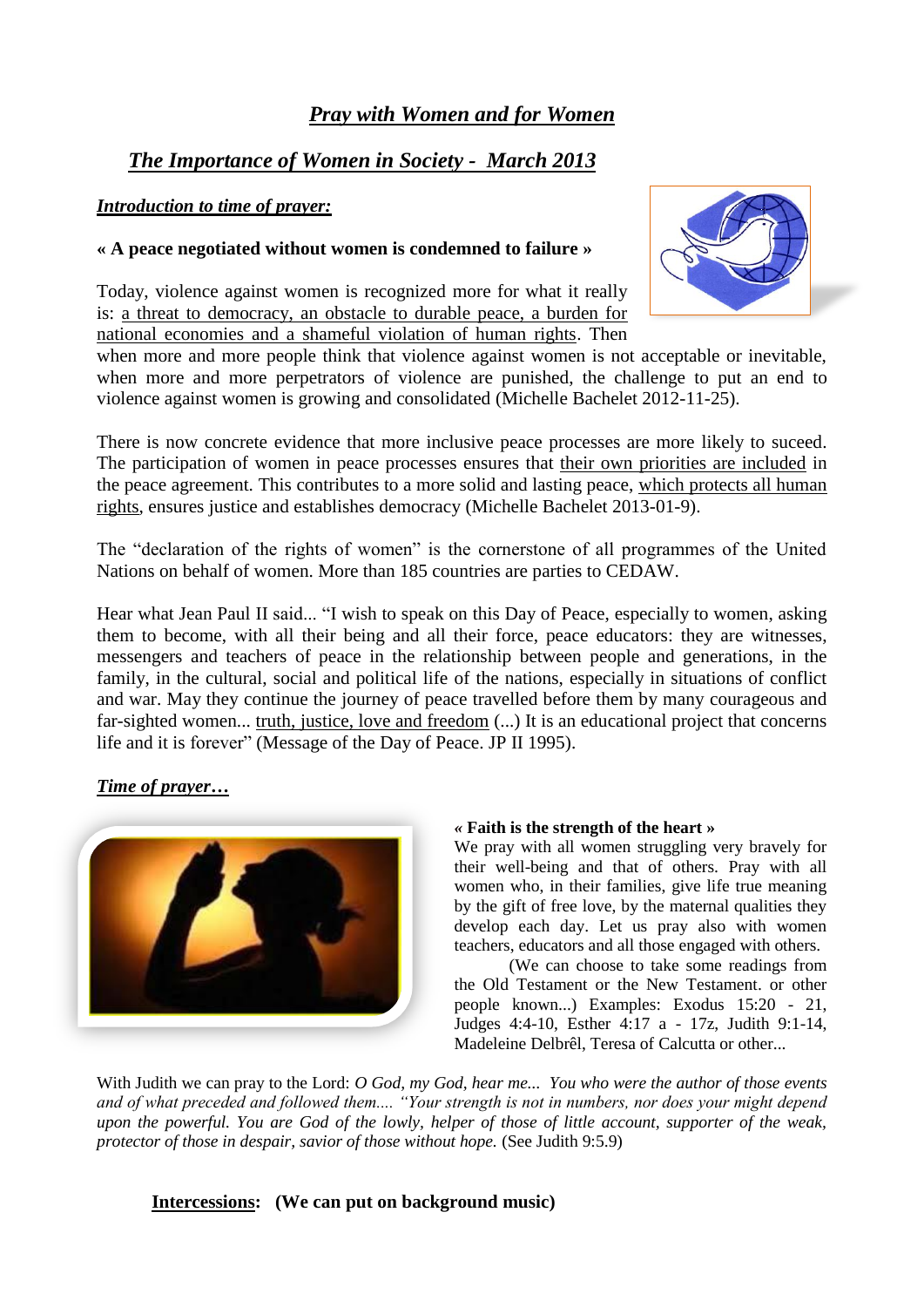# *Pray with Women and for Women*

# *The Importance of Women in Society - March 2013*

## *Introduction to time of prayer:*

## **« A peace negotiated without women is condemned to failure »**

Today, violence against women is recognized more for what it really is: a threat to democracy, an obstacle to durable peace, a burden for national economies and a shameful violation of human rights. Then



when more and more people think that violence against women is not acceptable or inevitable, when more and more perpetrators of violence are punished, the challenge to put an end to violence against women is growing and consolidated (Michelle Bachelet 2012-11-25).

There is now concrete evidence that more inclusive peace processes are more likely to suceed. The participation of women in peace processes ensures that their own priorities are included in the peace agreement. This contributes to a more solid and lasting peace, which protects all human rights, ensures justice and establishes democracy (Michelle Bachelet 2013-01-9).

The "declaration of the rights of women" is the cornerstone of all programmes of the United Nations on behalf of women. More than 185 countries are parties to CEDAW.

Hear what Jean Paul II said... "I wish to speak on this Day of Peace, especially to women, asking them to become, with all their being and all their force, peace educators: they are witnesses, messengers and teachers of peace in the relationship between people and generations, in the family, in the cultural, social and political life of the nations, especially in situations of conflict and war. May they continue the journey of peace travelled before them by many courageous and far-sighted women... truth, justice, love and freedom (...) It is an educational project that concerns life and it is forever" (Message of the Day of Peace. JP II 1995).

## *Time of prayer…*



#### *«* **Faith is the strength of the heart »**

We pray with all women struggling very bravely for their well-being and that of others. Pray with all women who, in their families, give life true meaning by the gift of free love, by the maternal qualities they develop each day. Let us pray also with women teachers, educators and all those engaged with others.

(We can choose to take some readings from the Old Testament or the New Testament. or other people known...) Examples: Exodus 15:20 - 21, Judges 4:4-10, Esther 4:17 a - 17z, Judith 9:1-14, Madeleine Delbrêl, Teresa of Calcutta or other...

With Judith we can pray to the Lord: *O God, my God, hear me... You who were the author of those events and of what preceded and followed them.... "Your strength is not in numbers, nor does your might depend upon the powerful. You are God of the lowly, helper of those of little account, supporter of the weak, protector of those in despair, savior of those without hope.* (See Judith 9:5.9)

## **Intercessions: (We can put on background music)**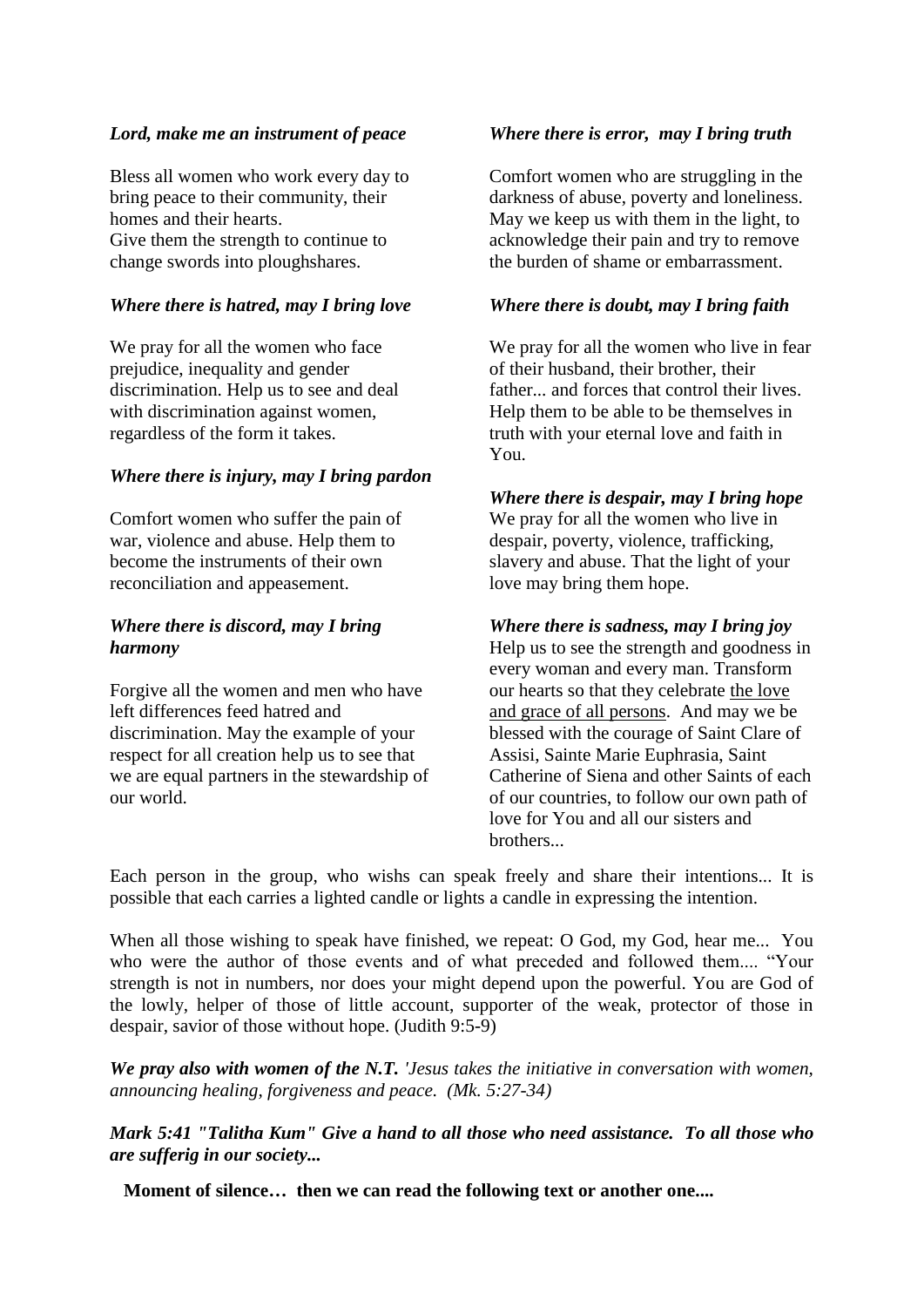#### *Lord, make me an instrument of peace*

Bless all women who work every day to bring peace to their community, their homes and their hearts. Give them the strength to continue to change swords into ploughshares.

#### *Where there is hatred, may I bring love*

We pray for all the women who face prejudice, inequality and gender discrimination. Help us to see and deal with discrimination against women, regardless of the form it takes.

## *Where there is injury, may I bring pardon*

Comfort women who suffer the pain of war, violence and abuse. Help them to become the instruments of their own reconciliation and appeasement.

## *Where there is discord, may I bring harmony*

Forgive all the women and men who have left differences feed hatred and discrimination. May the example of your respect for all creation help us to see that we are equal partners in the stewardship of our world.

## *Where there is error, may I bring truth*

Comfort women who are struggling in the darkness of abuse, poverty and loneliness. May we keep us with them in the light, to acknowledge their pain and try to remove the burden of shame or embarrassment.

#### *Where there is doubt, may I bring faith*

We pray for all the women who live in fear of their husband, their brother, their father... and forces that control their lives. Help them to be able to be themselves in truth with your eternal love and faith in You.

#### *Where there is despair, may I bring hope* We pray for all the women who live in despair, poverty, violence, trafficking, slavery and abuse. That the light of your love may bring them hope.

## *Where there is sadness, may I bring joy*

Help us to see the strength and goodness in every woman and every man. Transform our hearts so that they celebrate the love and grace of all persons. And may we be blessed with the courage of Saint Clare of Assisi, Sainte Marie Euphrasia, Saint Catherine of Siena and other Saints of each of our countries, to follow our own path of love for You and all our sisters and brothers...

Each person in the group, who wishs can speak freely and share their intentions... It is possible that each carries a lighted candle or lights a candle in expressing the intention.

When all those wishing to speak have finished, we repeat: O God, my God, hear me... You who were the author of those events and of what preceded and followed them.... "Your strength is not in numbers, nor does your might depend upon the powerful. You are God of the lowly, helper of those of little account, supporter of the weak, protector of those in despair, savior of those without hope. (Judith 9:5-9)

*We pray also with women of the N.T. 'Jesus takes the initiative in conversation with women, announcing healing, forgiveness and peace. (Mk. 5:27-34)* 

*Mark 5:41 "Talitha Kum" Give a hand to all those who need assistance. To all those who are sufferig in our society...*

 **Moment of silence… then we can read the following text or another one....**